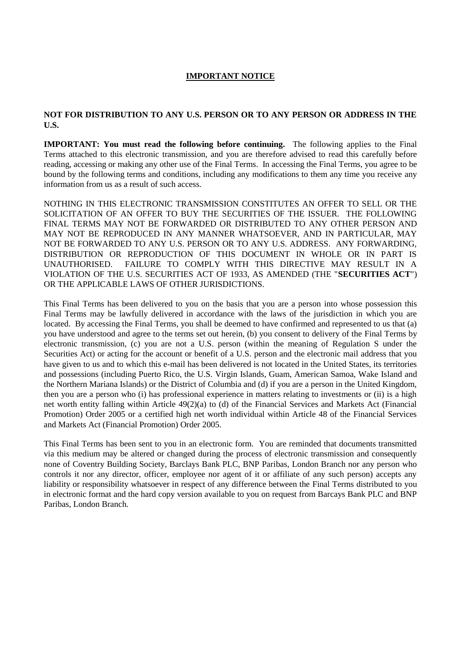# **IMPORTANT NOTICE**

### **NOT FOR DISTRIBUTION TO ANY U.S. PERSON OR TO ANY PERSON OR ADDRESS IN THE U.S.**

**IMPORTANT: You must read the following before continuing.** The following applies to the Final Terms attached to this electronic transmission, and you are therefore advised to read this carefully before reading, accessing or making any other use of the Final Terms. In accessing the Final Terms, you agree to be bound by the following terms and conditions, including any modifications to them any time you receive any information from us as a result of such access.

NOTHING IN THIS ELECTRONIC TRANSMISSION CONSTITUTES AN OFFER TO SELL OR THE SOLICITATION OF AN OFFER TO BUY THE SECURITIES OF THE ISSUER. THE FOLLOWING FINAL TERMS MAY NOT BE FORWARDED OR DISTRIBUTED TO ANY OTHER PERSON AND MAY NOT BE REPRODUCED IN ANY MANNER WHATSOEVER, AND IN PARTICULAR, MAY NOT BE FORWARDED TO ANY U.S. PERSON OR TO ANY U.S. ADDRESS. ANY FORWARDING, DISTRIBUTION OR REPRODUCTION OF THIS DOCUMENT IN WHOLE OR IN PART IS UNAUTHORISED. FAILURE TO COMPLY WITH THIS DIRECTIVE MAY RESULT IN A VIOLATION OF THE U.S. SECURITIES ACT OF 1933, AS AMENDED (THE "**SECURITIES ACT**") OR THE APPLICABLE LAWS OF OTHER JURISDICTIONS.

This Final Terms has been delivered to you on the basis that you are a person into whose possession this Final Terms may be lawfully delivered in accordance with the laws of the jurisdiction in which you are located. By accessing the Final Terms, you shall be deemed to have confirmed and represented to us that (a) you have understood and agree to the terms set out herein, (b) you consent to delivery of the Final Terms by electronic transmission, (c) you are not a U.S. person (within the meaning of Regulation S under the Securities Act) or acting for the account or benefit of a U.S. person and the electronic mail address that you have given to us and to which this e-mail has been delivered is not located in the United States, its territories and possessions (including Puerto Rico, the U.S. Virgin Islands, Guam, American Samoa, Wake Island and the Northern Mariana Islands) or the District of Columbia and (d) if you are a person in the United Kingdom, then you are a person who (i) has professional experience in matters relating to investments or (ii) is a high net worth entity falling within Article 49(2)(a) to (d) of the Financial Services and Markets Act (Financial Promotion) Order 2005 or a certified high net worth individual within Article 48 of the Financial Services and Markets Act (Financial Promotion) Order 2005.

This Final Terms has been sent to you in an electronic form. You are reminded that documents transmitted via this medium may be altered or changed during the process of electronic transmission and consequently none of Coventry Building Society, Barclays Bank PLC, BNP Paribas, London Branch nor any person who controls it nor any director, officer, employee nor agent of it or affiliate of any such person) accepts any liability or responsibility whatsoever in respect of any difference between the Final Terms distributed to you in electronic format and the hard copy version available to you on request from Barcays Bank PLC and BNP Paribas, London Branch.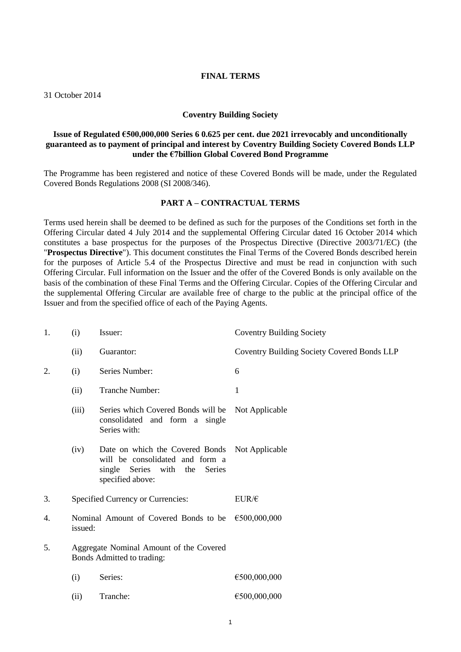#### **FINAL TERMS**

31 October 2014

#### **Coventry Building Society**

## **Issue of Regulated €500,000,000 Series 6 0.625 per cent. due 2021 irrevocably and unconditionally guaranteed as to payment of principal and interest by Coventry Building Society Covered Bonds LLP under the €7billion Global Covered Bond Programme**

The Programme has been registered and notice of these Covered Bonds will be made, under the Regulated Covered Bonds Regulations 2008 (SI 2008/346).

### **PART A – CONTRACTUAL TERMS**

Terms used herein shall be deemed to be defined as such for the purposes of the Conditions set forth in the Offering Circular dated 4 July 2014 and the supplemental Offering Circular dated 16 October 2014 which constitutes a base prospectus for the purposes of the Prospectus Directive (Directive 2003/71/EC) (the "**Prospectus Directive**"). This document constitutes the Final Terms of the Covered Bonds described herein for the purposes of Article 5.4 of the Prospectus Directive and must be read in conjunction with such Offering Circular. Full information on the Issuer and the offer of the Covered Bonds is only available on the basis of the combination of these Final Terms and the Offering Circular. Copies of the Offering Circular and the supplemental Offering Circular are available free of charge to the public at the principal office of the Issuer and from the specified office of each of the Paying Agents.

| 1. | (i)     | Issuer:                                                                                                                    | <b>Coventry Building Society</b>            |
|----|---------|----------------------------------------------------------------------------------------------------------------------------|---------------------------------------------|
|    | (ii)    | Guarantor:                                                                                                                 | Coventry Building Society Covered Bonds LLP |
| 2. | (i)     | Series Number:                                                                                                             | 6                                           |
|    | (ii)    | Tranche Number:                                                                                                            | 1                                           |
|    | (iii)   | Series which Covered Bonds will be<br>consolidated and form a single<br>Series with:                                       | Not Applicable                              |
|    | (iv)    | Date on which the Covered Bonds<br>will be consolidated and form a<br>single Series with the<br>Series<br>specified above: | Not Applicable                              |
| 3. |         | Specified Currency or Currencies:                                                                                          | $EUR/\epsilon$                              |
| 4. | issued: | Nominal Amount of Covered Bonds to be                                                                                      | €500,000,000                                |
| 5. |         | Aggregate Nominal Amount of the Covered<br>Bonds Admitted to trading:                                                      |                                             |
|    | (i)     | Series:                                                                                                                    | €500,000,000                                |
|    | (ii)    | Tranche:                                                                                                                   | €500,000,000                                |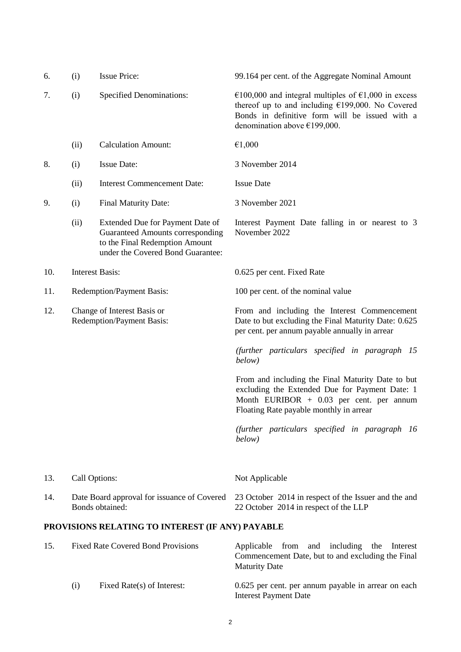| 6.  | (i)                                                             | <b>Issue Price:</b>                                                                                                                         | 99.164 per cent. of the Aggregate Nominal Amount                                                                                                                                                |
|-----|-----------------------------------------------------------------|---------------------------------------------------------------------------------------------------------------------------------------------|-------------------------------------------------------------------------------------------------------------------------------------------------------------------------------------------------|
| 7.  | (i)                                                             | <b>Specified Denominations:</b>                                                                                                             | €100,000 and integral multiples of €1,000 in excess<br>thereof up to and including $£199,000$ . No Covered<br>Bonds in definitive form will be issued with a<br>denomination above $£199,000$ . |
|     | (ii)                                                            | <b>Calculation Amount:</b>                                                                                                                  | €1,000                                                                                                                                                                                          |
| 8.  | (i)                                                             | <b>Issue Date:</b>                                                                                                                          | 3 November 2014                                                                                                                                                                                 |
|     | (ii)                                                            | <b>Interest Commencement Date:</b>                                                                                                          | <b>Issue Date</b>                                                                                                                                                                               |
| 9.  | (i)                                                             | Final Maturity Date:                                                                                                                        | 3 November 2021                                                                                                                                                                                 |
|     | (ii)                                                            | Extended Due for Payment Date of<br>Guaranteed Amounts corresponding<br>to the Final Redemption Amount<br>under the Covered Bond Guarantee: | Interest Payment Date falling in or nearest to 3<br>November 2022                                                                                                                               |
| 10. |                                                                 | <b>Interest Basis:</b>                                                                                                                      | 0.625 per cent. Fixed Rate                                                                                                                                                                      |
| 11. | Redemption/Payment Basis:                                       |                                                                                                                                             | 100 per cent. of the nominal value                                                                                                                                                              |
| 12. | Change of Interest Basis or<br><b>Redemption/Payment Basis:</b> |                                                                                                                                             | From and including the Interest Commencement<br>Date to but excluding the Final Maturity Date: 0.625<br>per cent. per annum payable annually in arrear                                          |
|     |                                                                 |                                                                                                                                             | (further particulars specified in paragraph 15<br>below)                                                                                                                                        |
|     |                                                                 |                                                                                                                                             | From and including the Final Maturity Date to but<br>excluding the Extended Due for Payment Date: 1<br>Month EURIBOR $+$ 0.03 per cent. per annum<br>Floating Rate payable monthly in arrear    |
|     |                                                                 |                                                                                                                                             | (further particulars specified in paragraph 16<br>below)                                                                                                                                        |
| 13. | Call Options:                                                   |                                                                                                                                             | Not Applicable                                                                                                                                                                                  |
| 14. |                                                                 | Date Board approval for issuance of Covered<br>Bonds obtained:                                                                              | 23 October 2014 in respect of the Issuer and the and<br>22 October 2014 in respect of the LLP                                                                                                   |
|     |                                                                 | PROVISIONS RELATING TO INTEREST (IF ANY) PAYABLE                                                                                            |                                                                                                                                                                                                 |
| 15. |                                                                 | <b>Fixed Rate Covered Bond Provisions</b>                                                                                                   | and including<br>Applicable<br>from<br>the<br>Interest<br>Commencement Date, but to and excluding the Final<br><b>Maturity Date</b>                                                             |
|     | (i)                                                             | Fixed Rate(s) of Interest:                                                                                                                  | 0.625 per cent. per annum payable in arrear on each                                                                                                                                             |

Interest Payment Date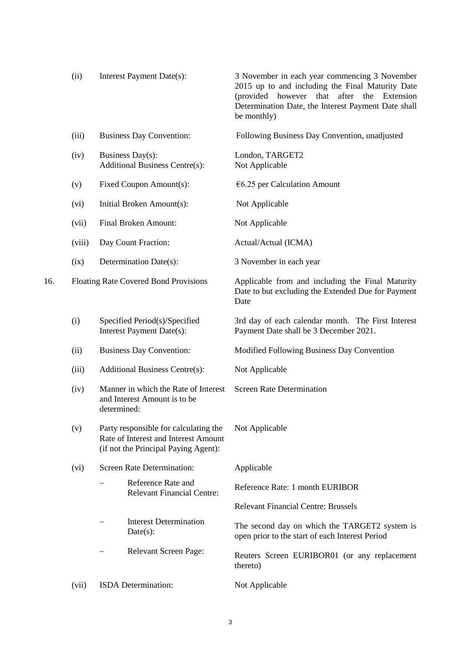|     | (ii)   | Interest Payment Date(s):                                                                                             | 3 November in each year commencing 3 November<br>2015 up to and including the Final Maturity Date<br>(provided however that<br>after<br>the<br>Extension<br>Determination Date, the Interest Payment Date shall<br>be monthly) |
|-----|--------|-----------------------------------------------------------------------------------------------------------------------|--------------------------------------------------------------------------------------------------------------------------------------------------------------------------------------------------------------------------------|
|     | (iii)  | <b>Business Day Convention:</b>                                                                                       | Following Business Day Convention, unadjusted                                                                                                                                                                                  |
|     | (iv)   | Business Day(s):<br><b>Additional Business Centre(s):</b>                                                             | London, TARGET2<br>Not Applicable                                                                                                                                                                                              |
|     | (v)    | Fixed Coupon Amount(s):                                                                                               | $€6.25$ per Calculation Amount                                                                                                                                                                                                 |
|     | (vi)   | Initial Broken Amount(s):                                                                                             | Not Applicable                                                                                                                                                                                                                 |
|     | (vii)  | Final Broken Amount:                                                                                                  | Not Applicable                                                                                                                                                                                                                 |
|     | (viii) | Day Count Fraction:                                                                                                   | Actual/Actual (ICMA)                                                                                                                                                                                                           |
|     | (ix)   | Determination Date(s):                                                                                                | 3 November in each year                                                                                                                                                                                                        |
| 16. |        | Floating Rate Covered Bond Provisions                                                                                 | Applicable from and including the Final Maturity<br>Date to but excluding the Extended Due for Payment<br>Date                                                                                                                 |
|     | (i)    | Specified Period(s)/Specified<br>Interest Payment Date(s):                                                            | 3rd day of each calendar month. The First Interest<br>Payment Date shall be 3 December 2021.                                                                                                                                   |
|     | (ii)   | <b>Business Day Convention:</b>                                                                                       | Modified Following Business Day Convention                                                                                                                                                                                     |
|     | (iii)  | <b>Additional Business Centre(s):</b>                                                                                 | Not Applicable                                                                                                                                                                                                                 |
|     | (iv)   | Manner in which the Rate of Interest<br>and Interest Amount is to be<br>determined:                                   | <b>Screen Rate Determination</b>                                                                                                                                                                                               |
|     | (v)    | Party responsible for calculating the<br>Rate of Interest and Interest Amount<br>(if not the Principal Paying Agent): | Not Applicable                                                                                                                                                                                                                 |
|     | (vi)   | <b>Screen Rate Determination:</b>                                                                                     | Applicable                                                                                                                                                                                                                     |
|     |        | Reference Rate and<br><b>Relevant Financial Centre:</b>                                                               | Reference Rate: 1 month EURIBOR                                                                                                                                                                                                |
|     |        |                                                                                                                       | <b>Relevant Financial Centre: Brussels</b>                                                                                                                                                                                     |
|     |        | <b>Interest Determination</b><br>$Date(s)$ :                                                                          | The second day on which the TARGET2 system is<br>open prior to the start of each Interest Period                                                                                                                               |
|     |        | <b>Relevant Screen Page:</b>                                                                                          | Reuters Screen EURIBOR01 (or any replacement<br>thereto)                                                                                                                                                                       |
|     | (vii)  | ISDA Determination:                                                                                                   | Not Applicable                                                                                                                                                                                                                 |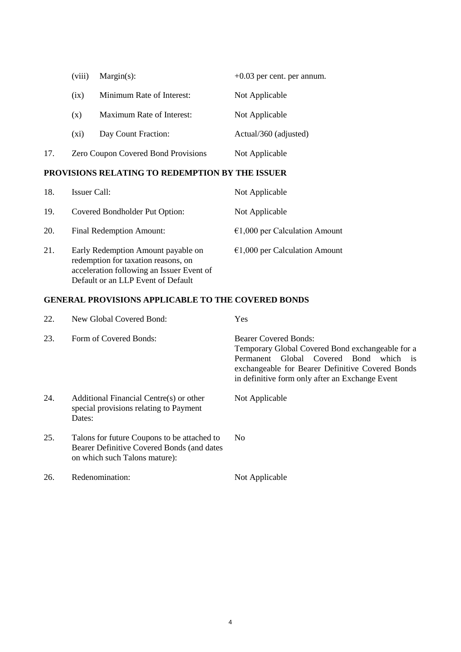|     | (viii)  | $Margin(s)$ :                       | $+0.03$ per cent. per annum. |
|-----|---------|-------------------------------------|------------------------------|
|     | (ix)    | Minimum Rate of Interest:           | Not Applicable               |
|     | (X)     | Maximum Rate of Interest:           | Not Applicable               |
|     | $(x_1)$ | Day Count Fraction:                 | Actual/360 (adjusted)        |
| 17. |         | Zero Coupon Covered Bond Provisions | Not Applicable               |

## **PROVISIONS RELATING TO REDEMPTION BY THE ISSUER**

| 18. | Issuer Call:                                                                                                                                                 | Not Applicable                          |
|-----|--------------------------------------------------------------------------------------------------------------------------------------------------------------|-----------------------------------------|
| 19. | Covered Bondholder Put Option:                                                                                                                               | Not Applicable                          |
| 20. | Final Redemption Amount:                                                                                                                                     | $\epsilon$ 1,000 per Calculation Amount |
| 21. | Early Redemption Amount payable on<br>redemption for taxation reasons, on<br>acceleration following an Issuer Event of<br>Default or an LLP Event of Default | $€1,000$ per Calculation Amount         |

# **GENERAL PROVISIONS APPLICABLE TO THE COVERED BONDS**

| 22. | New Global Covered Bond:                                                                                                   | Yes                                                                                                                                                                                                                                  |
|-----|----------------------------------------------------------------------------------------------------------------------------|--------------------------------------------------------------------------------------------------------------------------------------------------------------------------------------------------------------------------------------|
| 23. | Form of Covered Bonds:                                                                                                     | <b>Bearer Covered Bonds:</b><br>Temporary Global Covered Bond exchangeable for a<br>Permanent Global Covered Bond<br>which is<br>exchangeable for Bearer Definitive Covered Bonds<br>in definitive form only after an Exchange Event |
| 24. | Additional Financial Centre(s) or other<br>special provisions relating to Payment<br>Dates:                                | Not Applicable                                                                                                                                                                                                                       |
| 25. | Talons for future Coupons to be attached to<br>Bearer Definitive Covered Bonds (and dates<br>on which such Talons mature): | No.                                                                                                                                                                                                                                  |
| 26. | Redenomination:                                                                                                            | Not Applicable                                                                                                                                                                                                                       |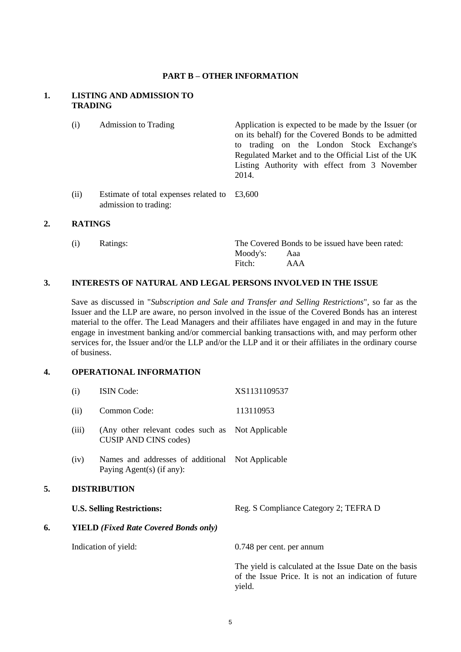### **PART B – OTHER INFORMATION**

## **1. LISTING AND ADMISSION TO TRADING**

| (i)  | <b>Admission to Trading</b>                                                          | Application is expected to be made by the Issuer (or<br>on its behalf) for the Covered Bonds to be admitted<br>to trading on the London Stock Exchange's<br>Regulated Market and to the Official List of the UK<br>Listing Authority with effect from 3 November<br>2014. |
|------|--------------------------------------------------------------------------------------|---------------------------------------------------------------------------------------------------------------------------------------------------------------------------------------------------------------------------------------------------------------------------|
| (ii) | Estimate of total expenses related to $\text{\pounds}3,600$<br>admission to trading: |                                                                                                                                                                                                                                                                           |

#### **2. RATINGS**

| (i) | Ratings: |              | The Covered Bonds to be issued have been rated: |  |
|-----|----------|--------------|-------------------------------------------------|--|
|     |          | Moody's: Aaa |                                                 |  |
|     |          | Fitch:       | AAA                                             |  |

### **3. INTERESTS OF NATURAL AND LEGAL PERSONS INVOLVED IN THE ISSUE**

Save as discussed in "*Subscription and Sale and Transfer and Selling Restrictions*", so far as the Issuer and the LLP are aware, no person involved in the issue of the Covered Bonds has an interest material to the offer. The Lead Managers and their affiliates have engaged in and may in the future engage in investment banking and/or commercial banking transactions with, and may perform other services for, the Issuer and/or the LLP and/or the LLP and it or their affiliates in the ordinary course of business.

# **4. OPERATIONAL INFORMATION**

|    | (i)                                          | <b>ISIN Code:</b>                                                                | XS1131109537                                                                                                              |
|----|----------------------------------------------|----------------------------------------------------------------------------------|---------------------------------------------------------------------------------------------------------------------------|
|    | (ii)                                         | Common Code:                                                                     | 113110953                                                                                                                 |
|    | (iii)                                        | (Any other relevant codes such as Not Applicable<br><b>CUSIP AND CINS codes)</b> |                                                                                                                           |
|    | (iv)                                         | Names and addresses of additional Not Applicable<br>Paying Agent(s) (if any):    |                                                                                                                           |
| 5. | <b>DISTRIBUTION</b>                          |                                                                                  |                                                                                                                           |
|    |                                              | <b>U.S. Selling Restrictions:</b>                                                | Reg. S Compliance Category 2; TEFRA D                                                                                     |
| 6. | <b>YIELD</b> (Fixed Rate Covered Bonds only) |                                                                                  |                                                                                                                           |
|    |                                              | Indication of yield:                                                             | 0.748 per cent. per annum                                                                                                 |
|    |                                              |                                                                                  | The yield is calculated at the Issue Date on the basis<br>of the Issue Price. It is not an indication of future<br>yield. |